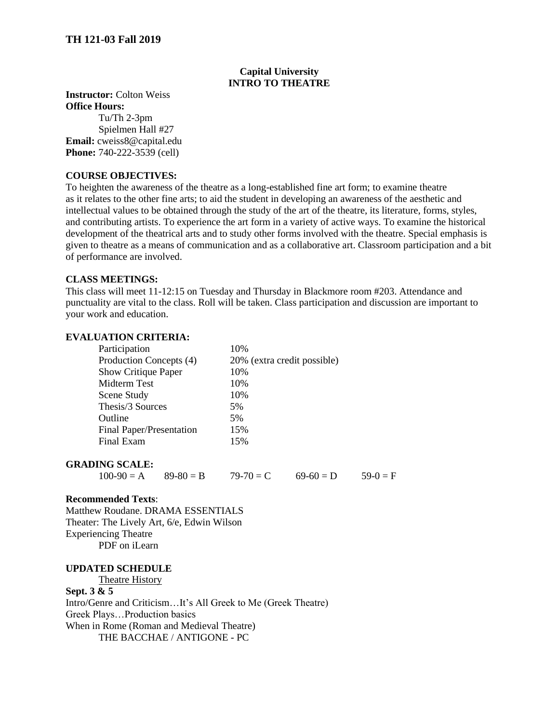## **Capital University INTRO TO THEATRE**

### **Instructor:** Colton Weiss **Office Hours:**

Tu/Th 2-3pm Spielmen Hall #27 **Email:** cweiss8@capital.edu **Phone:** 740-222-3539 (cell)

## **COURSE OBJECTIVES:**

To heighten the awareness of the theatre as a long-established fine art form; to examine theatre as it relates to the other fine arts; to aid the student in developing an awareness of the aesthetic and intellectual values to be obtained through the study of the art of the theatre, its literature, forms, styles, and contributing artists. To experience the art form in a variety of active ways. To examine the historical development of the theatrical arts and to study other forms involved with the theatre. Special emphasis is given to theatre as a means of communication and as a collaborative art. Classroom participation and a bit of performance are involved.

### **CLASS MEETINGS:**

This class will meet 11-12:15 on Tuesday and Thursday in Blackmore room #203. Attendance and punctuality are vital to the class. Roll will be taken. Class participation and discussion are important to your work and education.

### **EVALUATION CRITERIA:**

| Participation              | 10%                         |  |
|----------------------------|-----------------------------|--|
| Production Concepts (4)    | 20% (extra credit possible) |  |
| <b>Show Critique Paper</b> | 10%                         |  |
| Midterm Test               | 10%                         |  |
| Scene Study                | 10%                         |  |
| Thesis/3 Sources           | 5%                          |  |
| Outline                    | 5%                          |  |
| Final Paper/Presentation   | 15%                         |  |
| Final Exam                 | 15%                         |  |
|                            |                             |  |

### **GRADING SCALE:**

 $100-90 = A$   $89-80 = B$   $79-70 = C$   $69-60 = D$   $59-0 = F$ 

### **Recommended Texts**:

Matthew Roudane. DRAMA ESSENTIALS Theater: The Lively Art, 6/e, Edwin Wilson Experiencing Theatre PDF on iLearn

### **UPDATED SCHEDULE**

Theatre History

### **Sept. 3 & 5**

Intro/Genre and Criticism…It's All Greek to Me (Greek Theatre) Greek Plays…Production basics When in Rome (Roman and Medieval Theatre) THE BACCHAE / ANTIGONE - PC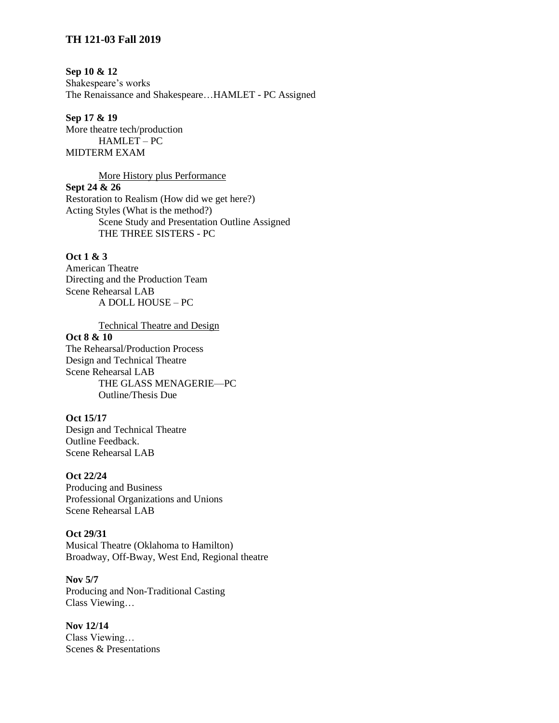## **Sep 10 & 12**

Shakespeare's works The Renaissance and Shakespeare…HAMLET - PC Assigned

**Sep 17 & 19** More theatre tech/production HAMLET – PC MIDTERM EXAM

### More History plus Performance

**Sept 24 & 26**

Restoration to Realism (How did we get here?) Acting Styles (What is the method?) Scene Study and Presentation Outline Assigned THE THREE SISTERS - PC

## **Oct 1 & 3**

American Theatre Directing and the Production Team Scene Rehearsal LAB A DOLL HOUSE – PC

Technical Theatre and Design **Oct 8 & 10** The Rehearsal/Production Process Design and Technical Theatre Scene Rehearsal LAB THE GLASS MENAGERIE—PC Outline/Thesis Due

### **Oct 15/17**

Design and Technical Theatre Outline Feedback. Scene Rehearsal LAB

#### **Oct 22/24**

Producing and Business Professional Organizations and Unions Scene Rehearsal LAB

## **Oct 29/31**

Musical Theatre (Oklahoma to Hamilton) Broadway, Off-Bway, West End, Regional theatre

**Nov 5/7** Producing and Non-Traditional Casting Class Viewing…

**Nov 12/14** Class Viewing… Scenes & Presentations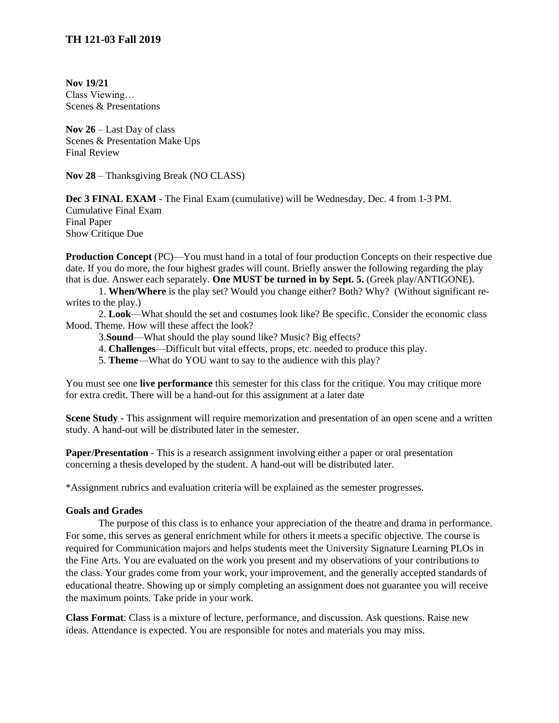**Nov 19/21** Class Viewing… Scenes & Presentations

**Nov 26** – Last Day of class Scenes & Presentation Make Ups Final Review

**Nov 28** – Thanksgiving Break (NO CLASS)

**Dec 3 FINAL EXAM** - The Final Exam (cumulative) will be Wednesday, Dec. 4 from 1-3 PM. Cumulative Final Exam Final Paper Show Critique Due

**Production Concept** (PC)—You must hand in a total of four production Concepts on their respective due date. If you do more, the four highest grades will count. Briefly answer the following regarding the play that is due. Answer each separately. **One MUST be turned in by Sept. 5.** (Greek play/ANTIGONE).

1. **When/Where** is the play set? Would you change either? Both? Why? (Without significant rewrites to the play.)

2. **Look**—What should the set and costumes look like? Be specific. Consider the economic class Mood. Theme. How will these affect the look?

3.**Sound**—What should the play sound like? Music? Big effects?

4. **Challenges**—Difficult but vital effects, props, etc. needed to produce this play.

5. **Theme**—What do YOU want to say to the audience with this play?

You must see one **live performance** this semester for this class for the critique. You may critique more for extra credit. There will be a hand-out for this assignment at a later date

**Scene Study** - This assignment will require memorization and presentation of an open scene and a written study. A hand-out will be distributed later in the semester.

**Paper/Presentation** - This is a research assignment involving either a paper or oral presentation concerning a thesis developed by the student. A hand-out will be distributed later.

\*Assignment rubrics and evaluation criteria will be explained as the semester progresses.

### **Goals and Grades**

The purpose of this class is to enhance your appreciation of the theatre and drama in performance. For some, this serves as general enrichment while for others it meets a specific objective. The course is required for Communication majors and helps students meet the University Signature Learning PLOs in the Fine Arts. You are evaluated on the work you present and my observations of your contributions to the class. Your grades come from your work, your improvement, and the generally accepted standards of educational theatre. Showing up or simply completing an assignment does not guarantee you will receive the maximum points. Take pride in your work.

**Class Format**: Class is a mixture of lecture, performance, and discussion. Ask questions. Raise new ideas. Attendance is expected. You are responsible for notes and materials you may miss.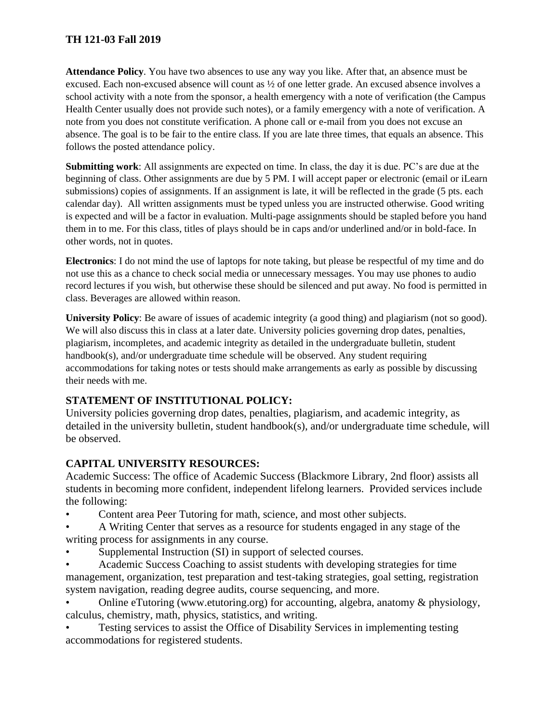**Attendance Policy**. You have two absences to use any way you like. After that, an absence must be excused. Each non-excused absence will count as ½ of one letter grade. An excused absence involves a school activity with a note from the sponsor, a health emergency with a note of verification (the Campus Health Center usually does not provide such notes), or a family emergency with a note of verification. A note from you does not constitute verification. A phone call or e-mail from you does not excuse an absence. The goal is to be fair to the entire class. If you are late three times, that equals an absence. This follows the posted attendance policy.

**Submitting work**: All assignments are expected on time. In class, the day it is due. PC's are due at the beginning of class. Other assignments are due by 5 PM. I will accept paper or electronic (email or iLearn submissions) copies of assignments. If an assignment is late, it will be reflected in the grade (5 pts. each calendar day). All written assignments must be typed unless you are instructed otherwise. Good writing is expected and will be a factor in evaluation. Multi-page assignments should be stapled before you hand them in to me. For this class, titles of plays should be in caps and/or underlined and/or in bold-face. In other words, not in quotes.

**Electronics**: I do not mind the use of laptops for note taking, but please be respectful of my time and do not use this as a chance to check social media or unnecessary messages. You may use phones to audio record lectures if you wish, but otherwise these should be silenced and put away. No food is permitted in class. Beverages are allowed within reason.

**University Policy**: Be aware of issues of academic integrity (a good thing) and plagiarism (not so good). We will also discuss this in class at a later date. University policies governing drop dates, penalties, plagiarism, incompletes, and academic integrity as detailed in the undergraduate bulletin, student handbook(s), and/or undergraduate time schedule will be observed. Any student requiring accommodations for taking notes or tests should make arrangements as early as possible by discussing their needs with me.

# **STATEMENT OF INSTITUTIONAL POLICY:**

University policies governing drop dates, penalties, plagiarism, and academic integrity, as detailed in the university bulletin, student handbook(s), and/or undergraduate time schedule, will be observed.

# **CAPITAL UNIVERSITY RESOURCES:**

Academic Success: The office of Academic Success (Blackmore Library, 2nd floor) assists all students in becoming more confident, independent lifelong learners. Provided services include the following:

- Content area Peer Tutoring for math, science, and most other subjects.
- A Writing Center that serves as a resource for students engaged in any stage of the writing process for assignments in any course.
- Supplemental Instruction (SI) in support of selected courses.
- Academic Success Coaching to assist students with developing strategies for time management, organization, test preparation and test-taking strategies, goal setting, registration system navigation, reading degree audits, course sequencing, and more.
- Online eTutoring (www.etutoring.org) for accounting, algebra, anatomy & physiology, calculus, chemistry, math, physics, statistics, and writing.
- Testing services to assist the Office of Disability Services in implementing testing accommodations for registered students.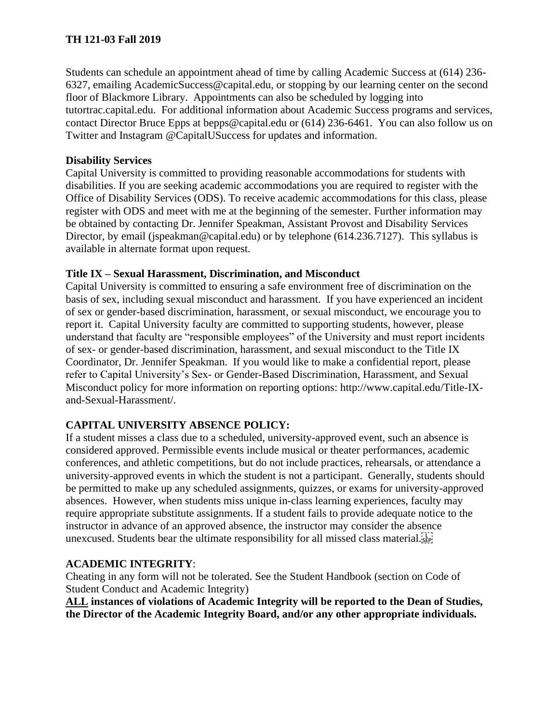Students can schedule an appointment ahead of time by calling Academic Success at (614) 236- 6327, emailing AcademicSuccess@capital.edu, or stopping by our learning center on the second floor of Blackmore Library. Appointments can also be scheduled by logging into tutortrac.capital.edu. For additional information about Academic Success programs and services, contact Director Bruce Epps at bepps@capital.edu or (614) 236-6461. You can also follow us on Twitter and Instagram @CapitalUSuccess for updates and information.

# **Disability Services**

Capital University is committed to providing reasonable accommodations for students with disabilities. If you are seeking academic accommodations you are required to register with the Office of Disability Services (ODS). To receive academic accommodations for this class, please register with ODS and meet with me at the beginning of the semester. Further information may be obtained by contacting Dr. Jennifer Speakman, Assistant Provost and Disability Services Director, by email (jspeakman@capital.edu) or by telephone (614.236.7127). This syllabus is available in alternate format upon request.

# **Title IX – Sexual Harassment, Discrimination, and Misconduct**

Capital University is committed to ensuring a safe environment free of discrimination on the basis of sex, including sexual misconduct and harassment. If you have experienced an incident of sex or gender-based discrimination, harassment, or sexual misconduct, we encourage you to report it. Capital University faculty are committed to supporting students, however, please understand that faculty are "responsible employees" of the University and must report incidents of sex- or gender-based discrimination, harassment, and sexual misconduct to the Title IX Coordinator, Dr. Jennifer Speakman. If you would like to make a confidential report, please refer to Capital University's Sex- or Gender-Based Discrimination, Harassment, and Sexual Misconduct policy for more information on reporting options: http://www.capital.edu/Title-IXand-Sexual-Harassment/.

# **CAPITAL UNIVERSITY ABSENCE POLICY:**

If a student misses a class due to a scheduled, university-approved event, such an absence is considered approved. Permissible events include musical or theater performances, academic conferences, and athletic competitions, but do not include practices, rehearsals, or attendance a university-approved events in which the student is not a participant. Generally, students should be permitted to make up any scheduled assignments, quizzes, or exams for university-approved absences. However, when students miss unique in-class learning experiences, faculty may require appropriate substitute assignments. If a student fails to provide adequate notice to the instructor in advance of an approved absence, the instructor may consider the absence unexcused. Students bear the ultimate responsibility for all missed class material.

# **ACADEMIC INTEGRITY**:

Cheating in any form will not be tolerated. See the Student Handbook (section on Code of Student Conduct and Academic Integrity)

**ALL instances of violations of Academic Integrity will be reported to the Dean of Studies, the Director of the Academic Integrity Board, and/or any other appropriate individuals.**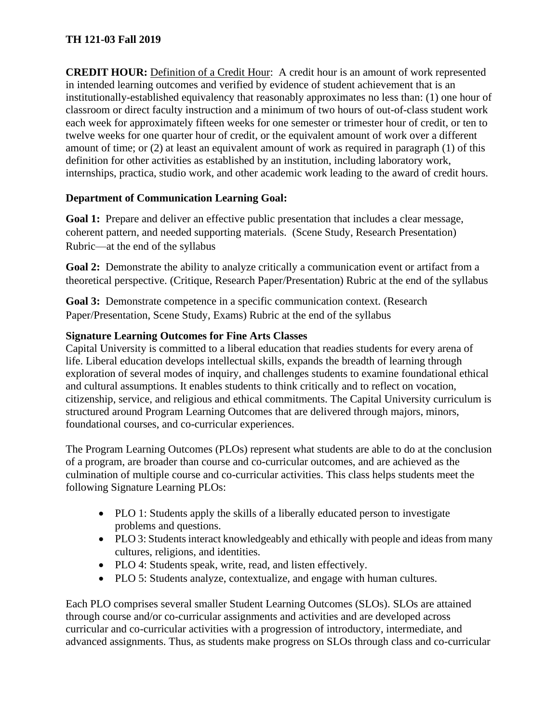**CREDIT HOUR:** Definition of a Credit Hour: A credit hour is an amount of work represented in intended learning outcomes and verified by evidence of student achievement that is an institutionally-established equivalency that reasonably approximates no less than: (1) one hour of classroom or direct faculty instruction and a minimum of two hours of out-of-class student work each week for approximately fifteen weeks for one semester or trimester hour of credit, or ten to twelve weeks for one quarter hour of credit, or the equivalent amount of work over a different amount of time; or (2) at least an equivalent amount of work as required in paragraph (1) of this definition for other activities as established by an institution, including laboratory work, internships, practica, studio work, and other academic work leading to the award of credit hours.

# **Department of Communication Learning Goal:**

Goal 1: Prepare and deliver an effective public presentation that includes a clear message, coherent pattern, and needed supporting materials. (Scene Study, Research Presentation) Rubric—at the end of the syllabus

**Goal 2:** Demonstrate the ability to analyze critically a communication event or artifact from a theoretical perspective. (Critique, Research Paper/Presentation) Rubric at the end of the syllabus

**Goal 3:** Demonstrate competence in a specific communication context. (Research Paper/Presentation, Scene Study, Exams) Rubric at the end of the syllabus

# **Signature Learning Outcomes for Fine Arts Classes**

Capital University is committed to a liberal education that readies students for every arena of life. Liberal education develops intellectual skills, expands the breadth of learning through exploration of several modes of inquiry, and challenges students to examine foundational ethical and cultural assumptions. It enables students to think critically and to reflect on vocation, citizenship, service, and religious and ethical commitments. The Capital University curriculum is structured around Program Learning Outcomes that are delivered through majors, minors, foundational courses, and co-curricular experiences.

The Program Learning Outcomes (PLOs) represent what students are able to do at the conclusion of a program, are broader than course and co-curricular outcomes, and are achieved as the culmination of multiple course and co-curricular activities. This class helps students meet the following Signature Learning PLOs:

- PLO 1: Students apply the skills of a liberally educated person to investigate problems and questions.
- PLO 3: Students interact knowledgeably and ethically with people and ideas from many cultures, religions, and identities.
- PLO 4: Students speak, write, read, and listen effectively.
- PLO 5: Students analyze, contextualize, and engage with human cultures.

Each PLO comprises several smaller Student Learning Outcomes (SLOs). SLOs are attained through course and/or co-curricular assignments and activities and are developed across curricular and co-curricular activities with a progression of introductory, intermediate, and advanced assignments. Thus, as students make progress on SLOs through class and co-curricular